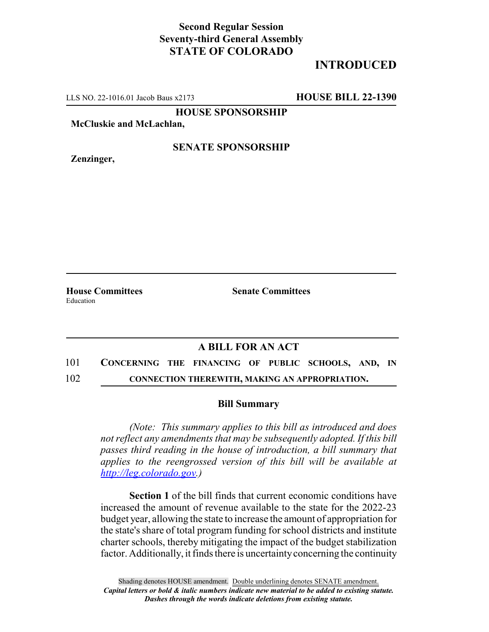## **Second Regular Session Seventy-third General Assembly STATE OF COLORADO**

# **INTRODUCED**

LLS NO. 22-1016.01 Jacob Baus x2173 **HOUSE BILL 22-1390**

**HOUSE SPONSORSHIP**

**McCluskie and McLachlan,**

**Zenzinger,**

#### **SENATE SPONSORSHIP**

Education

**House Committees Senate Committees**

### **A BILL FOR AN ACT**

101 **CONCERNING THE FINANCING OF PUBLIC SCHOOLS, AND, IN** 102 **CONNECTION THEREWITH, MAKING AN APPROPRIATION.**

#### **Bill Summary**

*(Note: This summary applies to this bill as introduced and does not reflect any amendments that may be subsequently adopted. If this bill passes third reading in the house of introduction, a bill summary that applies to the reengrossed version of this bill will be available at http://leg.colorado.gov.)*

**Section 1** of the bill finds that current economic conditions have increased the amount of revenue available to the state for the 2022-23 budget year, allowing the state to increase the amount of appropriation for the state's share of total program funding for school districts and institute charter schools, thereby mitigating the impact of the budget stabilization factor. Additionally, it finds there is uncertainty concerning the continuity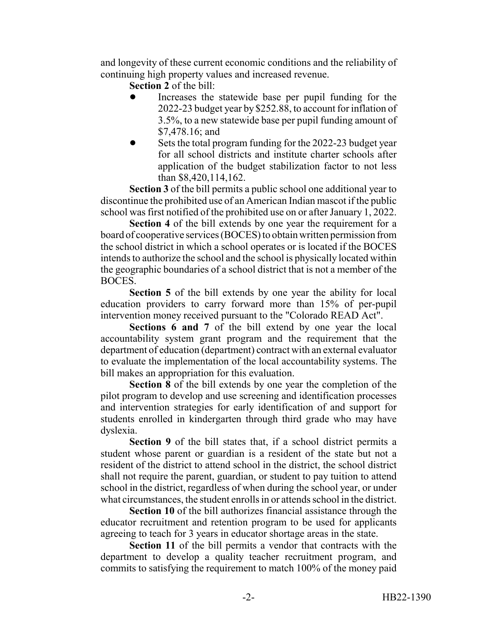and longevity of these current economic conditions and the reliability of continuing high property values and increased revenue.

**Section 2** of the bill:

- Increases the statewide base per pupil funding for the 2022-23 budget year by \$252.88, to account for inflation of 3.5%, to a new statewide base per pupil funding amount of \$7,478.16; and
- Sets the total program funding for the 2022-23 budget year for all school districts and institute charter schools after application of the budget stabilization factor to not less than \$8,420,114,162.

**Section 3** of the bill permits a public school one additional year to discontinue the prohibited use of an American Indian mascot if the public school was first notified of the prohibited use on or after January 1, 2022.

**Section 4** of the bill extends by one year the requirement for a board of cooperative services (BOCES) to obtain written permission from the school district in which a school operates or is located if the BOCES intends to authorize the school and the school is physically located within the geographic boundaries of a school district that is not a member of the BOCES.

**Section 5** of the bill extends by one year the ability for local education providers to carry forward more than 15% of per-pupil intervention money received pursuant to the "Colorado READ Act".

**Sections 6 and 7** of the bill extend by one year the local accountability system grant program and the requirement that the department of education (department) contract with an external evaluator to evaluate the implementation of the local accountability systems. The bill makes an appropriation for this evaluation.

**Section 8** of the bill extends by one year the completion of the pilot program to develop and use screening and identification processes and intervention strategies for early identification of and support for students enrolled in kindergarten through third grade who may have dyslexia.

**Section 9** of the bill states that, if a school district permits a student whose parent or guardian is a resident of the state but not a resident of the district to attend school in the district, the school district shall not require the parent, guardian, or student to pay tuition to attend school in the district, regardless of when during the school year, or under what circumstances, the student enrolls in or attends school in the district.

**Section 10** of the bill authorizes financial assistance through the educator recruitment and retention program to be used for applicants agreeing to teach for 3 years in educator shortage areas in the state.

**Section 11** of the bill permits a vendor that contracts with the department to develop a quality teacher recruitment program, and commits to satisfying the requirement to match 100% of the money paid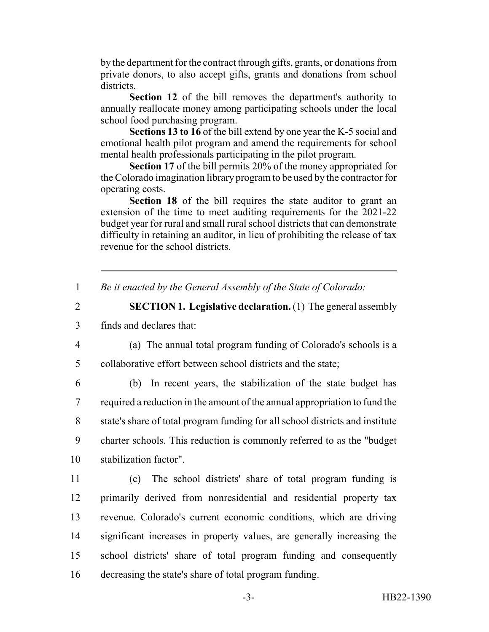by the department for the contract through gifts, grants, or donations from private donors, to also accept gifts, grants and donations from school districts.

**Section 12** of the bill removes the department's authority to annually reallocate money among participating schools under the local school food purchasing program.

**Sections 13 to 16** of the bill extend by one year the K-5 social and emotional health pilot program and amend the requirements for school mental health professionals participating in the pilot program.

**Section 17** of the bill permits 20% of the money appropriated for the Colorado imagination library program to be used by the contractor for operating costs.

**Section 18** of the bill requires the state auditor to grant an extension of the time to meet auditing requirements for the 2021-22 budget year for rural and small rural school districts that can demonstrate difficulty in retaining an auditor, in lieu of prohibiting the release of tax revenue for the school districts.

1 *Be it enacted by the General Assembly of the State of Colorado:*

2 **SECTION 1. Legislative declaration.** (1) The general assembly 3 finds and declares that:

4 (a) The annual total program funding of Colorado's schools is a 5 collaborative effort between school districts and the state;

 (b) In recent years, the stabilization of the state budget has required a reduction in the amount of the annual appropriation to fund the state's share of total program funding for all school districts and institute charter schools. This reduction is commonly referred to as the "budget stabilization factor".

 (c) The school districts' share of total program funding is primarily derived from nonresidential and residential property tax revenue. Colorado's current economic conditions, which are driving significant increases in property values, are generally increasing the school districts' share of total program funding and consequently decreasing the state's share of total program funding.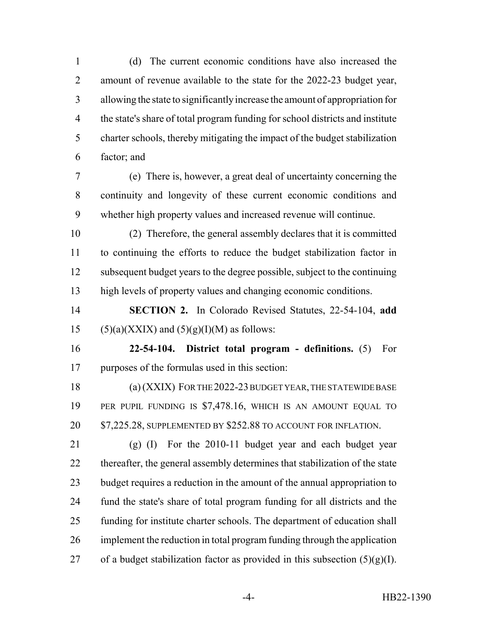(d) The current economic conditions have also increased the amount of revenue available to the state for the 2022-23 budget year, allowing the state to significantly increase the amount of appropriation for the state's share of total program funding for school districts and institute charter schools, thereby mitigating the impact of the budget stabilization factor; and

 (e) There is, however, a great deal of uncertainty concerning the continuity and longevity of these current economic conditions and whether high property values and increased revenue will continue.

 (2) Therefore, the general assembly declares that it is committed to continuing the efforts to reduce the budget stabilization factor in subsequent budget years to the degree possible, subject to the continuing high levels of property values and changing economic conditions.

 **SECTION 2.** In Colorado Revised Statutes, 22-54-104, **add** 15 (5)(a)(XXIX) and  $(5)(g)(I)(M)$  as follows:

 **22-54-104. District total program - definitions.** (5) For purposes of the formulas used in this section:

 (a) (XXIX) FOR THE 2022-23 BUDGET YEAR, THE STATEWIDE BASE PER PUPIL FUNDING IS \$7,478.16, WHICH IS AN AMOUNT EQUAL TO 20 \$7,225.28, SUPPLEMENTED BY \$252.88 TO ACCOUNT FOR INFLATION.

 (g) (I) For the 2010-11 budget year and each budget year thereafter, the general assembly determines that stabilization of the state budget requires a reduction in the amount of the annual appropriation to fund the state's share of total program funding for all districts and the funding for institute charter schools. The department of education shall implement the reduction in total program funding through the application 27 of a budget stabilization factor as provided in this subsection  $(5)(g)(I)$ .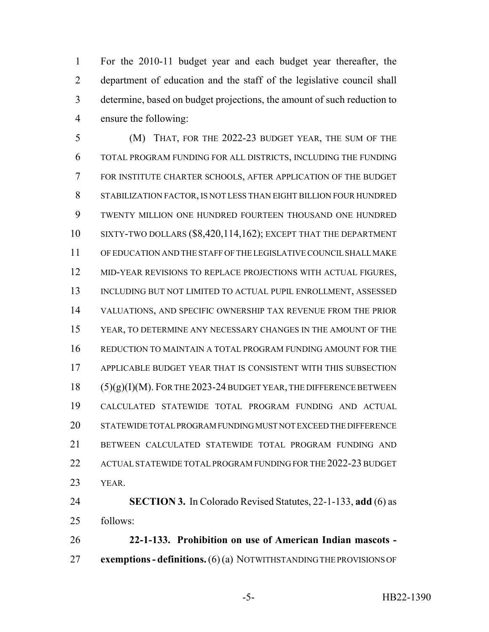For the 2010-11 budget year and each budget year thereafter, the department of education and the staff of the legislative council shall determine, based on budget projections, the amount of such reduction to ensure the following:

 (M) THAT, FOR THE 2022-23 BUDGET YEAR, THE SUM OF THE TOTAL PROGRAM FUNDING FOR ALL DISTRICTS, INCLUDING THE FUNDING FOR INSTITUTE CHARTER SCHOOLS, AFTER APPLICATION OF THE BUDGET STABILIZATION FACTOR, IS NOT LESS THAN EIGHT BILLION FOUR HUNDRED TWENTY MILLION ONE HUNDRED FOURTEEN THOUSAND ONE HUNDRED SIXTY-TWO DOLLARS (\$8,420,114,162); EXCEPT THAT THE DEPARTMENT OF EDUCATION AND THE STAFF OF THE LEGISLATIVE COUNCIL SHALL MAKE MID-YEAR REVISIONS TO REPLACE PROJECTIONS WITH ACTUAL FIGURES, 13 INCLUDING BUT NOT LIMITED TO ACTUAL PUPIL ENROLLMENT, ASSESSED VALUATIONS, AND SPECIFIC OWNERSHIP TAX REVENUE FROM THE PRIOR YEAR, TO DETERMINE ANY NECESSARY CHANGES IN THE AMOUNT OF THE REDUCTION TO MAINTAIN A TOTAL PROGRAM FUNDING AMOUNT FOR THE APPLICABLE BUDGET YEAR THAT IS CONSISTENT WITH THIS SUBSECTION (5)(g)(I)(M). FOR THE 2023-24 BUDGET YEAR, THE DIFFERENCE BETWEEN CALCULATED STATEWIDE TOTAL PROGRAM FUNDING AND ACTUAL STATEWIDE TOTAL PROGRAM FUNDING MUST NOT EXCEED THE DIFFERENCE BETWEEN CALCULATED STATEWIDE TOTAL PROGRAM FUNDING AND 22 ACTUAL STATEWIDE TOTAL PROGRAM FUNDING FOR THE 2022-23 BUDGET YEAR.

 **SECTION 3.** In Colorado Revised Statutes, 22-1-133, **add** (6) as follows:

 **22-1-133. Prohibition on use of American Indian mascots - exemptions - definitions.** (6) (a) NOTWITHSTANDING THE PROVISIONS OF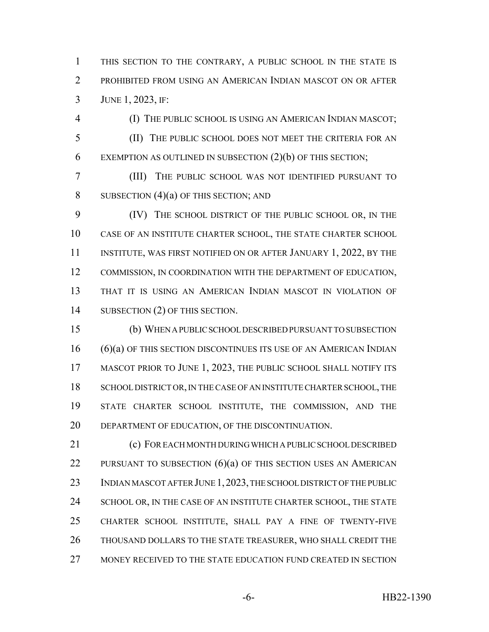1 THIS SECTION TO THE CONTRARY, A PUBLIC SCHOOL IN THE STATE IS 2 PROHIBITED FROM USING AN AMERICAN INDIAN MASCOT ON OR AFTER 3 JUNE 1, 2023, IF:

4 (I) THE PUBLIC SCHOOL IS USING AN AMERICAN INDIAN MASCOT; 5 (II) THE PUBLIC SCHOOL DOES NOT MEET THE CRITERIA FOR AN 6 EXEMPTION AS OUTLINED IN SUBSECTION  $(2)(b)$  OF THIS SECTION;

7 (III) THE PUBLIC SCHOOL WAS NOT IDENTIFIED PURSUANT TO 8 SUBSECTION  $(4)(a)$  OF THIS SECTION; AND

9 (IV) THE SCHOOL DISTRICT OF THE PUBLIC SCHOOL OR, IN THE 10 CASE OF AN INSTITUTE CHARTER SCHOOL, THE STATE CHARTER SCHOOL 11 INSTITUTE, WAS FIRST NOTIFIED ON OR AFTER JANUARY 1, 2022, BY THE 12 COMMISSION, IN COORDINATION WITH THE DEPARTMENT OF EDUCATION, 13 THAT IT IS USING AN AMERICAN INDIAN MASCOT IN VIOLATION OF 14 SUBSECTION (2) OF THIS SECTION.

15 (b) WHEN A PUBLIC SCHOOL DESCRIBED PURSUANT TO SUBSECTION 16 (6)(a) OF THIS SECTION DISCONTINUES ITS USE OF AN AMERICAN INDIAN 17 MASCOT PRIOR TO JUNE 1, 2023, THE PUBLIC SCHOOL SHALL NOTIFY ITS 18 SCHOOL DISTRICT OR, IN THE CASE OF AN INSTITUTE CHARTER SCHOOL, THE 19 STATE CHARTER SCHOOL INSTITUTE, THE COMMISSION, AND THE 20 DEPARTMENT OF EDUCATION, OF THE DISCONTINUATION.

21 (c) FOR EACH MONTH DURING WHICH A PUBLIC SCHOOL DESCRIBED 22 PURSUANT TO SUBSECTION  $(6)(a)$  of this section uses an American 23 INDIAN MASCOT AFTER JUNE 1, 2023, THE SCHOOL DISTRICT OF THE PUBLIC 24 SCHOOL OR, IN THE CASE OF AN INSTITUTE CHARTER SCHOOL, THE STATE 25 CHARTER SCHOOL INSTITUTE, SHALL PAY A FINE OF TWENTY-FIVE 26 THOUSAND DOLLARS TO THE STATE TREASURER, WHO SHALL CREDIT THE 27 MONEY RECEIVED TO THE STATE EDUCATION FUND CREATED IN SECTION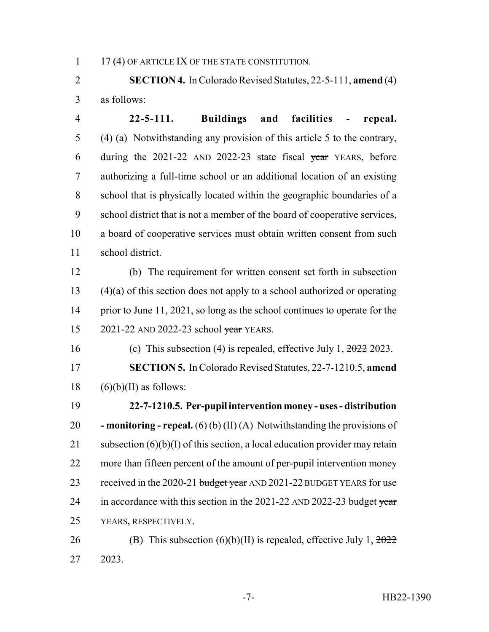1 17 (4) OF ARTICLE IX OF THE STATE CONSTITUTION.

 **SECTION 4.** In Colorado Revised Statutes, 22-5-111, **amend** (4) as follows:

 **22-5-111. Buildings and facilities - repeal.** (4) (a) Notwithstanding any provision of this article 5 to the contrary, 6 during the  $2021-22$  AND  $2022-23$  state fiscal year YEARS, before authorizing a full-time school or an additional location of an existing school that is physically located within the geographic boundaries of a school district that is not a member of the board of cooperative services, a board of cooperative services must obtain written consent from such school district.

 (b) The requirement for written consent set forth in subsection (4)(a) of this section does not apply to a school authorized or operating 14 prior to June 11, 2021, so long as the school continues to operate for the 15 2021-22 AND 2022-23 school year YEARS.

16 (c) This subsection (4) is repealed, effective July 1,  $\frac{2022}{2023}$ . **SECTION 5.** In Colorado Revised Statutes, 22-7-1210.5, **amend** (6)(b)(II) as follows:

 **22-7-1210.5. Per-pupil intervention money - uses - distribution - monitoring - repeal.** (6) (b) (II) (A) Notwithstanding the provisions of 21 subsection  $(6)(b)(I)$  of this section, a local education provider may retain more than fifteen percent of the amount of per-pupil intervention money 23 received in the 2020-21 budget year AND 2021-22 BUDGET YEARS for use 24 in accordance with this section in the  $2021-22$  AND  $2022-23$  budget year YEARS, RESPECTIVELY.

26 (B) This subsection  $(6)(b)(II)$  is repealed, effective July 1,  $\frac{2022}{20}$ 2023.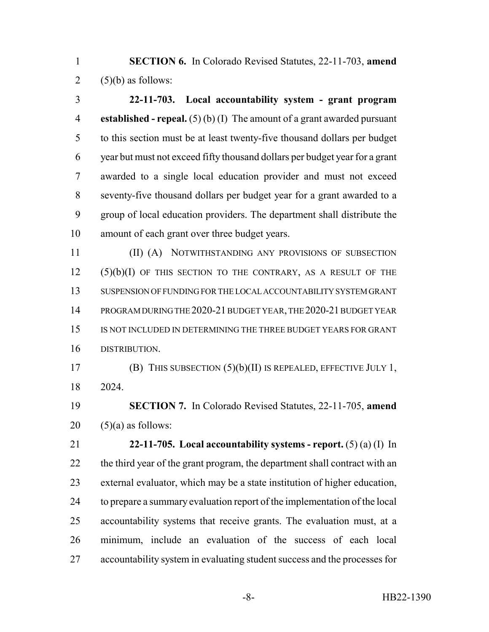**SECTION 6.** In Colorado Revised Statutes, 22-11-703, **amend** 2  $(5)(b)$  as follows:

 **22-11-703. Local accountability system - grant program established - repeal.** (5) (b) (I) The amount of a grant awarded pursuant to this section must be at least twenty-five thousand dollars per budget year but must not exceed fifty thousand dollars per budget year for a grant awarded to a single local education provider and must not exceed seventy-five thousand dollars per budget year for a grant awarded to a group of local education providers. The department shall distribute the amount of each grant over three budget years.

 (II) (A) NOTWITHSTANDING ANY PROVISIONS OF SUBSECTION (5)(b)(I) OF THIS SECTION TO THE CONTRARY, AS A RESULT OF THE SUSPENSION OF FUNDING FOR THE LOCAL ACCOUNTABILITY SYSTEM GRANT PROGRAM DURING THE 2020-21 BUDGET YEAR, THE 2020-21 BUDGET YEAR IS NOT INCLUDED IN DETERMINING THE THREE BUDGET YEARS FOR GRANT DISTRIBUTION.

 (B) THIS SUBSECTION (5)(b)(II) IS REPEALED, EFFECTIVE JULY 1, 2024.

 **SECTION 7.** In Colorado Revised Statutes, 22-11-705, **amend** (5)(a) as follows:

 **22-11-705. Local accountability systems - report.** (5) (a) (I) In 22 the third year of the grant program, the department shall contract with an external evaluator, which may be a state institution of higher education, to prepare a summary evaluation report of the implementation of the local accountability systems that receive grants. The evaluation must, at a minimum, include an evaluation of the success of each local accountability system in evaluating student success and the processes for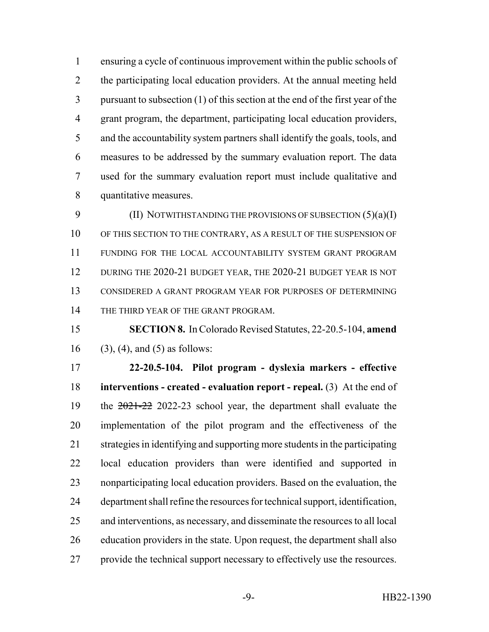ensuring a cycle of continuous improvement within the public schools of 2 the participating local education providers. At the annual meeting held pursuant to subsection (1) of this section at the end of the first year of the grant program, the department, participating local education providers, and the accountability system partners shall identify the goals, tools, and measures to be addressed by the summary evaluation report. The data used for the summary evaluation report must include qualitative and quantitative measures.

9 (II) NOTWITHSTANDING THE PROVISIONS OF SUBSECTION (5)(a)(I) 10 OF THIS SECTION TO THE CONTRARY, AS A RESULT OF THE SUSPENSION OF FUNDING FOR THE LOCAL ACCOUNTABILITY SYSTEM GRANT PROGRAM 12 DURING THE 2020-21 BUDGET YEAR, THE 2020-21 BUDGET YEAR IS NOT CONSIDERED A GRANT PROGRAM YEAR FOR PURPOSES OF DETERMINING 14 THE THIRD YEAR OF THE GRANT PROGRAM.

 **SECTION 8.** In Colorado Revised Statutes, 22-20.5-104, **amend** 16 (3), (4), and (5) as follows:

 **22-20.5-104. Pilot program - dyslexia markers - effective interventions - created - evaluation report - repeal.** (3) At the end of 19 the  $2021-22$  2022-23 school year, the department shall evaluate the implementation of the pilot program and the effectiveness of the strategies in identifying and supporting more students in the participating local education providers than were identified and supported in nonparticipating local education providers. Based on the evaluation, the department shall refine the resources for technical support, identification, and interventions, as necessary, and disseminate the resources to all local education providers in the state. Upon request, the department shall also provide the technical support necessary to effectively use the resources.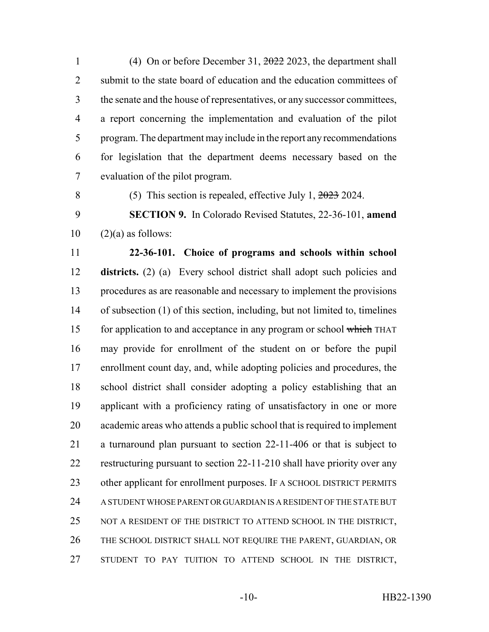(4) On or before December 31, 2022 2023, the department shall 2 submit to the state board of education and the education committees of the senate and the house of representatives, or any successor committees, a report concerning the implementation and evaluation of the pilot program. The department may include in the report any recommendations for legislation that the department deems necessary based on the evaluation of the pilot program.

(5) This section is repealed, effective July 1, 2023 2024.

 **SECTION 9.** In Colorado Revised Statutes, 22-36-101, **amend**  $10 \qquad (2)(a)$  as follows:

 **22-36-101. Choice of programs and schools within school districts.** (2) (a) Every school district shall adopt such policies and procedures as are reasonable and necessary to implement the provisions of subsection (1) of this section, including, but not limited to, timelines 15 for application to and acceptance in any program or school which THAT may provide for enrollment of the student on or before the pupil enrollment count day, and, while adopting policies and procedures, the school district shall consider adopting a policy establishing that an applicant with a proficiency rating of unsatisfactory in one or more academic areas who attends a public school that is required to implement a turnaround plan pursuant to section 22-11-406 or that is subject to restructuring pursuant to section 22-11-210 shall have priority over any 23 other applicant for enrollment purposes. IF A SCHOOL DISTRICT PERMITS A STUDENT WHOSE PARENT OR GUARDIAN IS A RESIDENT OF THE STATE BUT 25 NOT A RESIDENT OF THE DISTRICT TO ATTEND SCHOOL IN THE DISTRICT, THE SCHOOL DISTRICT SHALL NOT REQUIRE THE PARENT, GUARDIAN, OR STUDENT TO PAY TUITION TO ATTEND SCHOOL IN THE DISTRICT,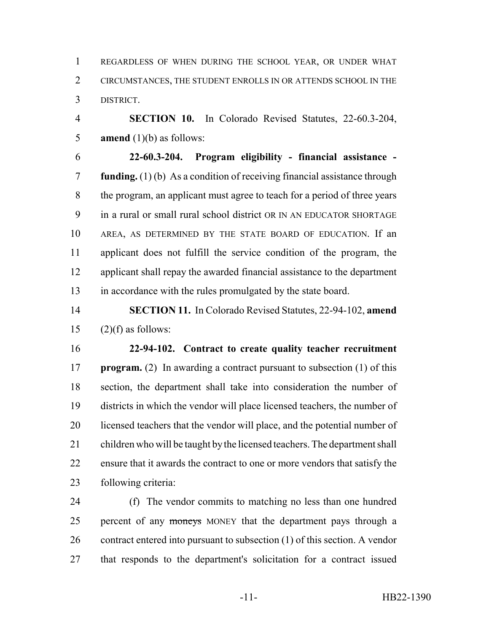REGARDLESS OF WHEN DURING THE SCHOOL YEAR, OR UNDER WHAT CIRCUMSTANCES, THE STUDENT ENROLLS IN OR ATTENDS SCHOOL IN THE DISTRICT.

 **SECTION 10.** In Colorado Revised Statutes, 22-60.3-204, **amend** (1)(b) as follows:

 **22-60.3-204. Program eligibility - financial assistance - funding.** (1) (b) As a condition of receiving financial assistance through the program, an applicant must agree to teach for a period of three years in a rural or small rural school district OR IN AN EDUCATOR SHORTAGE AREA, AS DETERMINED BY THE STATE BOARD OF EDUCATION. If an applicant does not fulfill the service condition of the program, the applicant shall repay the awarded financial assistance to the department in accordance with the rules promulgated by the state board.

 **SECTION 11.** In Colorado Revised Statutes, 22-94-102, **amend** 15  $(2)(f)$  as follows:

 **22-94-102. Contract to create quality teacher recruitment program.** (2) In awarding a contract pursuant to subsection (1) of this section, the department shall take into consideration the number of districts in which the vendor will place licensed teachers, the number of 20 licensed teachers that the vendor will place, and the potential number of children who will be taught by the licensed teachers. The department shall ensure that it awards the contract to one or more vendors that satisfy the following criteria:

 (f) The vendor commits to matching no less than one hundred 25 percent of any moneys MONEY that the department pays through a contract entered into pursuant to subsection (1) of this section. A vendor that responds to the department's solicitation for a contract issued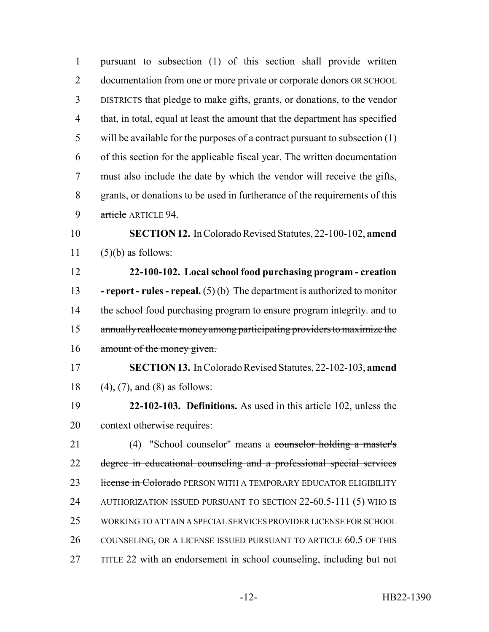| $\mathbf{1}$   | pursuant to subsection (1) of this section shall provide written                   |
|----------------|------------------------------------------------------------------------------------|
| $\overline{2}$ | documentation from one or more private or corporate donors OR SCHOOL               |
| $\overline{3}$ | DISTRICTS that pledge to make gifts, grants, or donations, to the vendor           |
| $\overline{4}$ | that, in total, equal at least the amount that the department has specified        |
| 5              | will be available for the purposes of a contract pursuant to subsection $(1)$      |
| 6              | of this section for the applicable fiscal year. The written documentation          |
| $\tau$         | must also include the date by which the vendor will receive the gifts,             |
| 8              | grants, or donations to be used in furtherance of the requirements of this         |
| 9              | article ARTICLE 94.                                                                |
| 10             | <b>SECTION 12.</b> In Colorado Revised Statutes, 22-100-102, amend                 |
| 11             | $(5)(b)$ as follows:                                                               |
| 12             | 22-100-102. Local school food purchasing program - creation                        |
| 13             | <b>- report - rules - repeal.</b> $(5)(b)$ The department is authorized to monitor |
| 14             | the school food purchasing program to ensure program integrity. and to             |
| 15             | annually reallocate money among participating providers to maximize the            |
| 16             | amount of the money given.                                                         |
| 17             | <b>SECTION 13.</b> In Colorado Revised Statutes, 22-102-103, amend                 |
| 18             | $(4)$ , $(7)$ , and $(8)$ as follows:                                              |
| 19             | 22-102-103. Definitions. As used in this article 102, unless the                   |
| 20             | context otherwise requires:                                                        |
| 21             | (4) "School counselor" means a counselor holding a master's                        |
| 22             | degree in educational counseling and a professional special services               |
| 23             | license in Colorado PERSON WITH A TEMPORARY EDUCATOR ELIGIBILITY                   |
| 24             | AUTHORIZATION ISSUED PURSUANT TO SECTION 22-60.5-111 (5) WHO IS                    |
| 25             | WORKING TO ATTAIN A SPECIAL SERVICES PROVIDER LICENSE FOR SCHOOL                   |
| 26             | COUNSELING, OR A LICENSE ISSUED PURSUANT TO ARTICLE 60.5 OF THIS                   |
| 27             | TITLE 22 with an endorsement in school counseling, including but not               |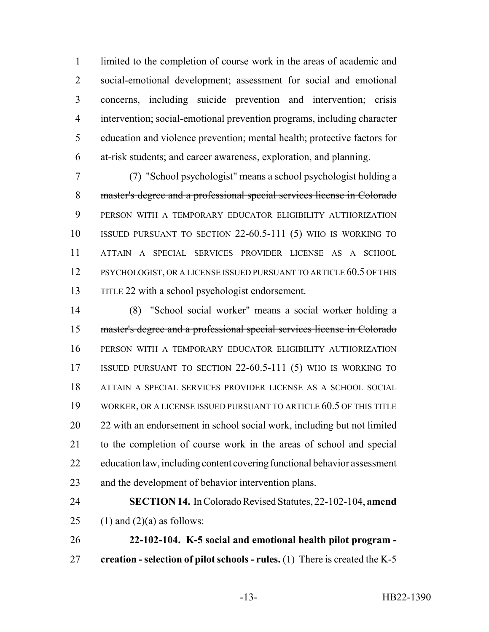limited to the completion of course work in the areas of academic and social-emotional development; assessment for social and emotional concerns, including suicide prevention and intervention; crisis intervention; social-emotional prevention programs, including character education and violence prevention; mental health; protective factors for at-risk students; and career awareness, exploration, and planning.

 (7) "School psychologist" means a school psychologist holding a master's degree and a professional special services license in Colorado PERSON WITH A TEMPORARY EDUCATOR ELIGIBILITY AUTHORIZATION ISSUED PURSUANT TO SECTION 22-60.5-111 (5) WHO IS WORKING TO ATTAIN A SPECIAL SERVICES PROVIDER LICENSE AS A SCHOOL 12 PSYCHOLOGIST, OR A LICENSE ISSUED PURSUANT TO ARTICLE 60.5 OF THIS TITLE 22 with a school psychologist endorsement.

 (8) "School social worker" means a social worker holding a master's degree and a professional special services license in Colorado PERSON WITH A TEMPORARY EDUCATOR ELIGIBILITY AUTHORIZATION ISSUED PURSUANT TO SECTION 22-60.5-111 (5) WHO IS WORKING TO ATTAIN A SPECIAL SERVICES PROVIDER LICENSE AS A SCHOOL SOCIAL WORKER, OR A LICENSE ISSUED PURSUANT TO ARTICLE 60.5 OF THIS TITLE 20 22 with an endorsement in school social work, including but not limited to the completion of course work in the areas of school and special education law, including content covering functional behavior assessment and the development of behavior intervention plans.

 **SECTION 14.** In Colorado Revised Statutes, 22-102-104, **amend** 25 (1) and  $(2)(a)$  as follows:

 **22-102-104. K-5 social and emotional health pilot program - creation - selection of pilot schools - rules.** (1) There is created the K-5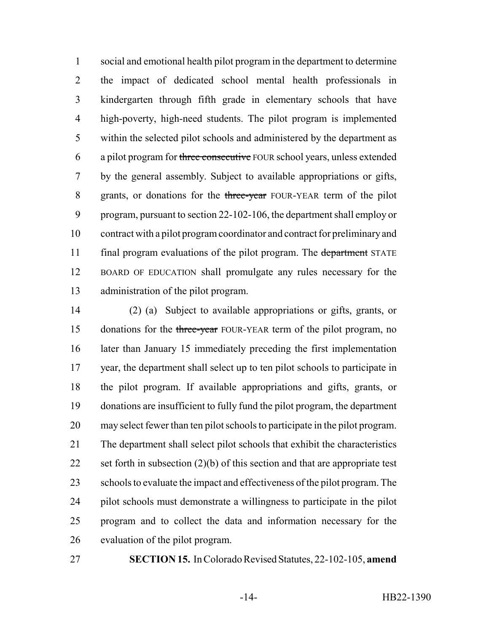social and emotional health pilot program in the department to determine the impact of dedicated school mental health professionals in kindergarten through fifth grade in elementary schools that have high-poverty, high-need students. The pilot program is implemented within the selected pilot schools and administered by the department as 6 a pilot program for three consecutive FOUR school years, unless extended by the general assembly. Subject to available appropriations or gifts, 8 grants, or donations for the three-year FOUR-YEAR term of the pilot program, pursuant to section 22-102-106, the department shall employ or contract with a pilot program coordinator and contract for preliminary and 11 final program evaluations of the pilot program. The department STATE BOARD OF EDUCATION shall promulgate any rules necessary for the administration of the pilot program.

 (2) (a) Subject to available appropriations or gifts, grants, or 15 donations for the three-year FOUR-YEAR term of the pilot program, no later than January 15 immediately preceding the first implementation year, the department shall select up to ten pilot schools to participate in the pilot program. If available appropriations and gifts, grants, or donations are insufficient to fully fund the pilot program, the department may select fewer than ten pilot schools to participate in the pilot program. The department shall select pilot schools that exhibit the characteristics 22 set forth in subsection (2)(b) of this section and that are appropriate test 23 schools to evaluate the impact and effectiveness of the pilot program. The pilot schools must demonstrate a willingness to participate in the pilot program and to collect the data and information necessary for the evaluation of the pilot program.

**SECTION 15.** In Colorado Revised Statutes, 22-102-105, **amend**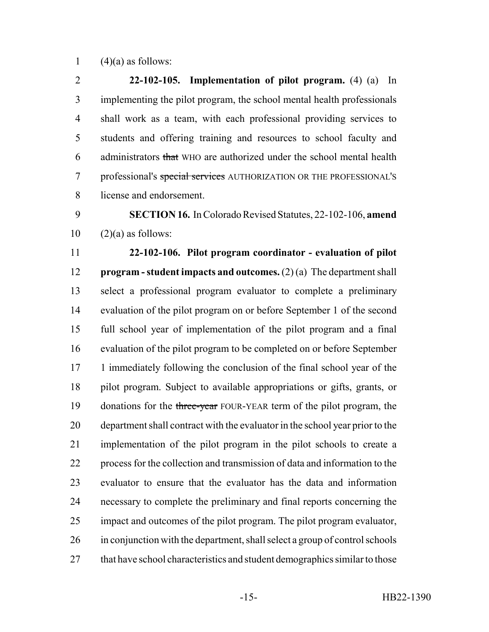1  $(4)(a)$  as follows:

 **22-102-105. Implementation of pilot program.** (4) (a) In implementing the pilot program, the school mental health professionals shall work as a team, with each professional providing services to students and offering training and resources to school faculty and administrators that WHO are authorized under the school mental health 7 professional's special services AUTHORIZATION OR THE PROFESSIONAL'S license and endorsement.

 **SECTION 16.** In Colorado Revised Statutes, 22-102-106, **amend**  $10 \qquad (2)(a)$  as follows:

 **22-102-106. Pilot program coordinator - evaluation of pilot program - student impacts and outcomes.** (2) (a) The department shall select a professional program evaluator to complete a preliminary evaluation of the pilot program on or before September 1 of the second full school year of implementation of the pilot program and a final evaluation of the pilot program to be completed on or before September 17 1 immediately following the conclusion of the final school year of the pilot program. Subject to available appropriations or gifts, grants, or 19 donations for the three-year FOUR-YEAR term of the pilot program, the department shall contract with the evaluator in the school year prior to the implementation of the pilot program in the pilot schools to create a process for the collection and transmission of data and information to the evaluator to ensure that the evaluator has the data and information necessary to complete the preliminary and final reports concerning the impact and outcomes of the pilot program. The pilot program evaluator, in conjunction with the department, shall select a group of control schools 27 that have school characteristics and student demographics similar to those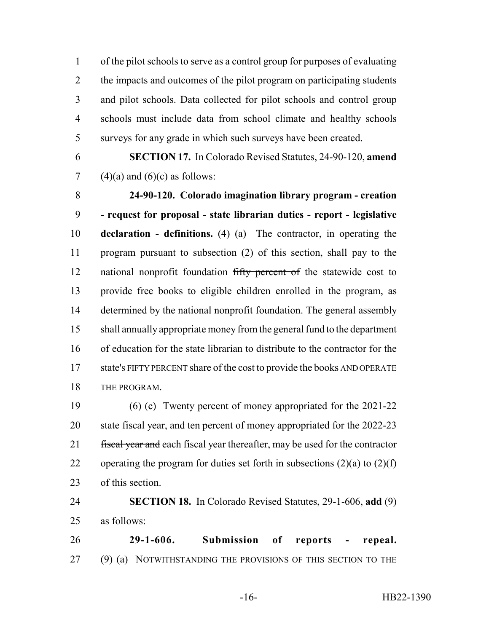of the pilot schools to serve as a control group for purposes of evaluating 2 the impacts and outcomes of the pilot program on participating students and pilot schools. Data collected for pilot schools and control group schools must include data from school climate and healthy schools surveys for any grade in which such surveys have been created.

 **SECTION 17.** In Colorado Revised Statutes, 24-90-120, **amend** 7 (4)(a) and (6)(c) as follows:

 **24-90-120. Colorado imagination library program - creation - request for proposal - state librarian duties - report - legislative declaration - definitions.** (4) (a) The contractor, in operating the program pursuant to subsection (2) of this section, shall pay to the 12 national nonprofit foundation fifty percent of the statewide cost to provide free books to eligible children enrolled in the program, as determined by the national nonprofit foundation. The general assembly shall annually appropriate money from the general fund to the department of education for the state librarian to distribute to the contractor for the state's FIFTY PERCENT share of the cost to provide the books AND OPERATE THE PROGRAM.

 (6) (c) Twenty percent of money appropriated for the 2021-22 20 state fiscal year, and ten percent of money appropriated for the 2022-23 21 fiscal year and each fiscal year thereafter, may be used for the contractor 22 operating the program for duties set forth in subsections  $(2)(a)$  to  $(2)(f)$ of this section.

 **SECTION 18.** In Colorado Revised Statutes, 29-1-606, **add** (9) as follows:

 **29-1-606. Submission of reports - repeal.** (9) (a) NOTWITHSTANDING THE PROVISIONS OF THIS SECTION TO THE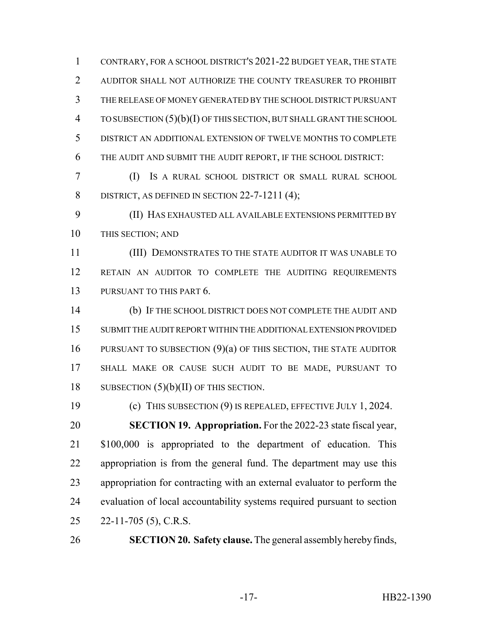CONTRARY, FOR A SCHOOL DISTRICT'S 2021-22 BUDGET YEAR, THE STATE AUDITOR SHALL NOT AUTHORIZE THE COUNTY TREASURER TO PROHIBIT THE RELEASE OF MONEY GENERATED BY THE SCHOOL DISTRICT PURSUANT TO SUBSECTION (5)(b)(I) OF THIS SECTION, BUT SHALL GRANT THE SCHOOL DISTRICT AN ADDITIONAL EXTENSION OF TWELVE MONTHS TO COMPLETE THE AUDIT AND SUBMIT THE AUDIT REPORT, IF THE SCHOOL DISTRICT:

 (I) IS A RURAL SCHOOL DISTRICT OR SMALL RURAL SCHOOL 8 DISTRICT, AS DEFINED IN SECTION 22-7-1211 (4);

 (II) HAS EXHAUSTED ALL AVAILABLE EXTENSIONS PERMITTED BY THIS SECTION; AND

 (III) DEMONSTRATES TO THE STATE AUDITOR IT WAS UNABLE TO RETAIN AN AUDITOR TO COMPLETE THE AUDITING REQUIREMENTS 13 PURSUANT TO THIS PART 6.

 (b) IF THE SCHOOL DISTRICT DOES NOT COMPLETE THE AUDIT AND SUBMIT THE AUDIT REPORT WITHIN THE ADDITIONAL EXTENSION PROVIDED 16 PURSUANT TO SUBSECTION (9)(a) OF THIS SECTION, THE STATE AUDITOR SHALL MAKE OR CAUSE SUCH AUDIT TO BE MADE, PURSUANT TO 18 SUBSECTION  $(5)(b)(II)$  OF THIS SECTION.

 (c) THIS SUBSECTION (9) IS REPEALED, EFFECTIVE JULY 1, 2024. **SECTION 19. Appropriation.** For the 2022-23 state fiscal year, \$100,000 is appropriated to the department of education. This appropriation is from the general fund. The department may use this appropriation for contracting with an external evaluator to perform the evaluation of local accountability systems required pursuant to section 22-11-705 (5), C.R.S.

**SECTION 20. Safety clause.** The general assembly hereby finds,